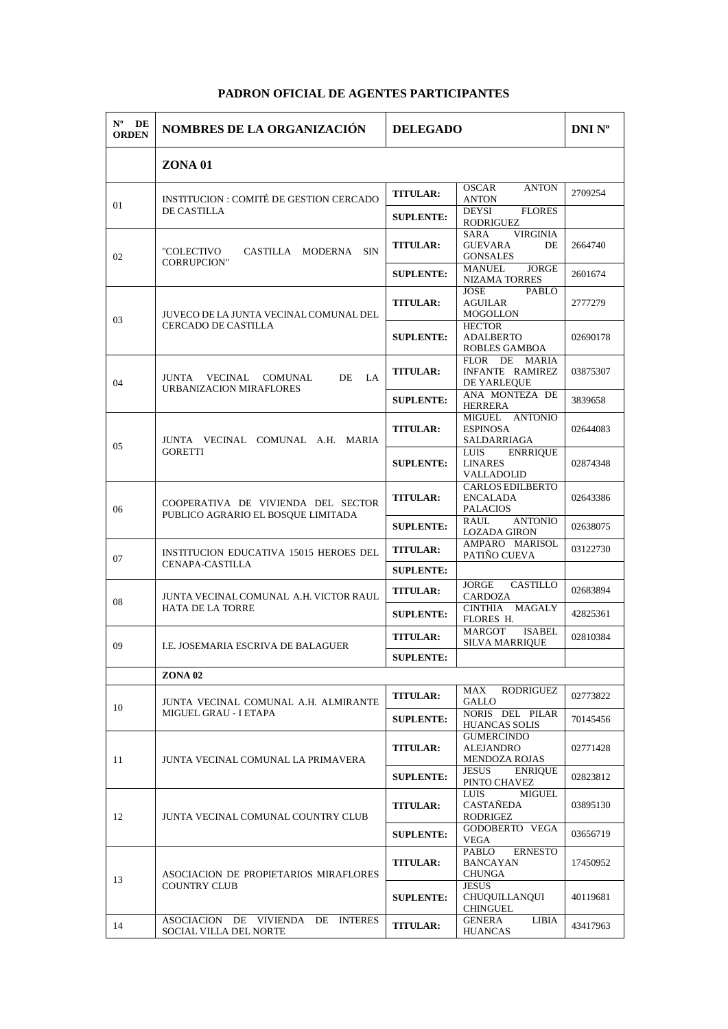## **PADRON OFICIAL DE AGENTES PARTICIPANTES**

| $N^{\rm o}$<br>DE<br><b>ORDEN</b> | <b>NOMBRES DE LA ORGANIZACIÓN</b>                                        | <b>DELEGADO</b>  |                                                                    | <b>DNI Nº</b> |
|-----------------------------------|--------------------------------------------------------------------------|------------------|--------------------------------------------------------------------|---------------|
|                                   | <b>ZONA 01</b>                                                           |                  |                                                                    |               |
| 01                                | INSTITUCION : COMITÉ DE GESTION CERCADO<br>DE CASTILLA                   | <b>TITULAR:</b>  | OSCAR<br><b>ANTON</b><br>ANTON                                     | 2709254       |
|                                   |                                                                          | <b>SUPLENTE:</b> | <b>FLORES</b><br>DEYSI<br>RODRIGUEZ                                |               |
| 02                                | CASTILLA MODERNA SIN<br>"COLECTIVO<br><b>CORRUPCION"</b>                 | <b>TITULAR:</b>  | <b>VIRGINIA</b><br>SARA<br><b>GUEVARA</b><br>DE<br><b>GONSALES</b> | 2664740       |
|                                   |                                                                          | <b>SUPLENTE:</b> | <b>JORGE</b><br>MANUEL<br><b>NIZAMA TORRES</b>                     | 2601674       |
|                                   | JUVECO DE LA JUNTA VECINAL COMUNAL DEL<br>CERCADO DE CASTILLA            | <b>TITULAR:</b>  | <b>JOSE</b><br>PABLO<br>AGUILAR<br>MOGOLLON                        | 2777279       |
| 03                                |                                                                          | <b>SUPLENTE:</b> | <b>HECTOR</b><br><b>ADALBERTO</b><br>ROBLES GAMBOA                 | 02690178      |
| 04                                | <b>DE</b><br><b>JUNTA</b><br>VECINAL<br>COMUNAL<br>LA.                   | <b>TITULAR:</b>  | DE MARIA<br><b>FLOR</b><br>INFANTE RAMIREZ<br>DE YARLEQUE          | 03875307      |
|                                   | URBANIZACION MIRAFLORES                                                  | <b>SUPLENTE:</b> | ANA MONTEZA DE<br>HERRERA                                          | 3839658       |
| 05                                | JUNTA VECINAL COMUNAL A.H. MARIA<br><b>GORETTI</b>                       | <b>TITULAR:</b>  | MIGUEL ANTONIO<br><b>ESPINOSA</b><br>SALDARRIAGA                   | 02644083      |
|                                   |                                                                          | <b>SUPLENTE:</b> | <b>ENRRIQUE</b><br><b>LUIS</b><br><b>LINARES</b><br>VALLADOLID     | 02874348      |
| 06                                | COOPERATIVA DE VIVIENDA DEL SECTOR<br>PUBLICO AGRARIO EL BOSQUE LIMITADA | <b>TITULAR:</b>  | <b>CARLOS EDILBERTO</b><br><b>ENCALADA</b><br><b>PALACIOS</b>      | 02643386      |
|                                   |                                                                          | <b>SUPLENTE:</b> | RAUL<br><b>ANTONIO</b><br><b>LOZADA GIRON</b>                      | 02638075      |
| 07                                | <b>INSTITUCION EDUCATIVA 15015 HEROES DEL</b><br>CENAPA-CASTILLA         | <b>TITULAR:</b>  | AMPARO MARISOL<br>PATIÑO CUEVA                                     | 03122730      |
|                                   |                                                                          | <b>SUPLENTE:</b> |                                                                    |               |
| 08                                | JUNTA VECINAL COMUNAL A.H. VICTOR RAUL<br>HATA DE LA TORRE               | <b>TITULAR:</b>  | JORGE<br>CASTILLO<br>CARDOZA                                       | 02683894      |
|                                   |                                                                          | <b>SUPLENTE:</b> | CINTHIA MAGALY<br>FLORES H.                                        | 42825361      |
| 09                                | I.E. JOSEMARIA ESCRIVA DE BALAGUER                                       | <b>TITULAR:</b>  | MARGOT<br><b>ISABEL</b><br><b>SILVA MARRIQUE</b>                   | 02810384      |
|                                   |                                                                          | <b>SUPLENTE:</b> |                                                                    |               |
|                                   | <b>ZONA 02</b>                                                           |                  |                                                                    |               |
| 10                                | JUNTA VECINAL COMUNAL A.H. ALMIRANTE<br>MIGUEL GRAU - I ETAPA            | <b>TITULAR:</b>  | RODRIGUEZ<br>MAX<br>GALLO                                          | 02773822      |
|                                   |                                                                          | <b>SUPLENTE:</b> | NORIS DEL PILAR<br><b>HUANCAS SOLIS</b>                            | 70145456      |
| 11                                | JUNTA VECINAL COMUNAL LA PRIMAVERA                                       | <b>TITULAR:</b>  | <b>GUMERCINDO</b><br>ALEJANDRO<br><b>MENDOZA ROJAS</b>             | 02771428      |
|                                   |                                                                          | <b>SUPLENTE:</b> | JESUS<br><b>ENRIQUE</b><br>PINTO CHAVEZ                            | 02823812      |
| 12                                | JUNTA VECINAL COMUNAL COUNTRY CLUB                                       | <b>TITULAR:</b>  | LUIS<br>MIGUEL<br>CASTAÑEDA<br>RODRIGEZ                            | 03895130      |
|                                   |                                                                          | <b>SUPLENTE:</b> | GODOBERTO VEGA<br>VEGA                                             | 03656719      |
| 13                                | ASOCIACION DE PROPIETARIOS MIRAFLORES<br><b>COUNTRY CLUB</b>             | <b>TITULAR:</b>  | <b>ERNESTO</b><br>PABLO<br><b>BANCAYAN</b><br>CHUNGA               | 17450952      |
|                                   |                                                                          | <b>SUPLENTE:</b> | <b>JESUS</b><br>CHUQUILLANQUI<br><b>CHINGUEL</b>                   | 40119681      |
| 14                                | ASOCIACION DE VIVIENDA DE INTERES<br>SOCIAL VILLA DEL NORTE              | <b>TITULAR:</b>  | GENERA<br><b>LIBIA</b><br><b>HUANCAS</b>                           | 43417963      |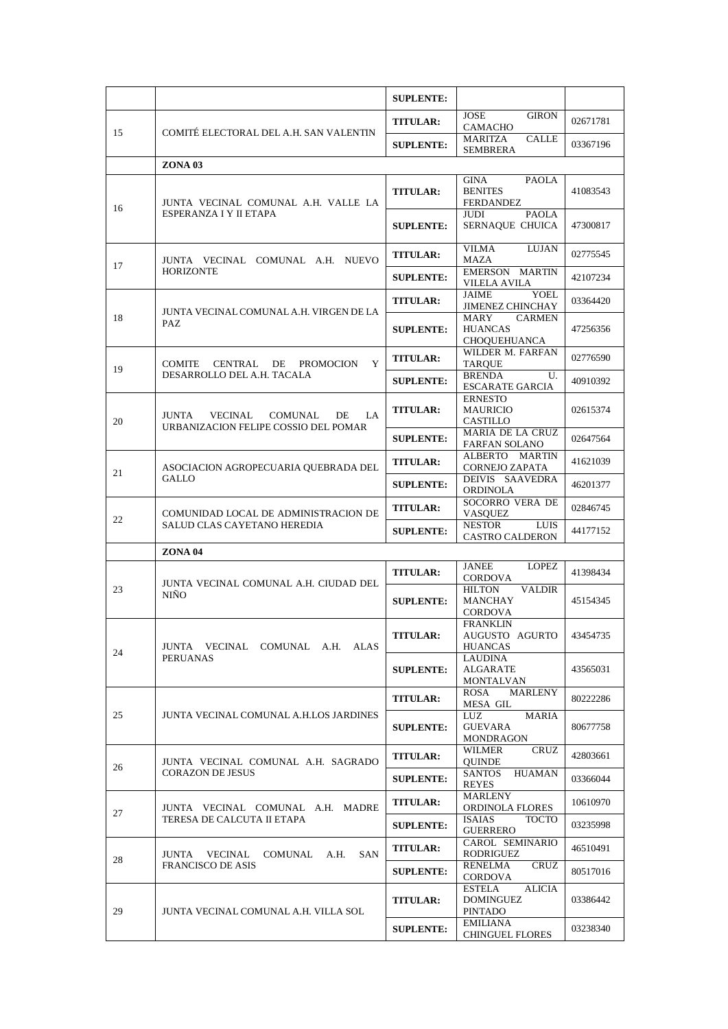|    |                                                                                  | <b>SUPLENTE:</b> |                                                                |          |
|----|----------------------------------------------------------------------------------|------------------|----------------------------------------------------------------|----------|
| 15 | COMITÉ ELECTORAL DEL A.H. SAN VALENTIN                                           | <b>TITULAR:</b>  | JOSE<br><b>GIRON</b><br><b>CAMACHO</b>                         | 02671781 |
|    |                                                                                  | <b>SUPLENTE:</b> | MARITZA<br><b>CALLE</b><br><b>SEMBRERA</b>                     | 03367196 |
|    | <b>ZONA 03</b>                                                                   |                  |                                                                |          |
| 16 | JUNTA VECINAL COMUNAL A.H. VALLE LA<br>ESPERANZA I Y II ETAPA                    | <b>TITULAR:</b>  | <b>PAOLA</b><br>GINA<br><b>BENITES</b><br>FERDANDEZ            | 41083543 |
|    |                                                                                  | <b>SUPLENTE:</b> | <b>JUDI</b><br><b>PAOLA</b><br>SERNAQUE CHUICA                 | 47300817 |
| 17 | JUNTA VECINAL COMUNAL A.H. NUEVO<br>HORIZONTE                                    | <b>TITULAR:</b>  | VILMA<br>LUJAN<br>MAZA                                         | 02775545 |
|    |                                                                                  | <b>SUPLENTE:</b> | EMERSON MARTIN<br><b>VILELA AVILA</b>                          | 42107234 |
|    |                                                                                  | <b>TITULAR:</b>  | JAIME<br><b>YOEL</b><br><b>JIMENEZ CHINCHAY</b>                | 03364420 |
| 18 | JUNTA VECINAL COMUNAL A.H. VIRGEN DE LA<br>PAZ                                   | <b>SUPLENTE:</b> | <b>CARMEN</b><br>MARY<br><b>HUANCAS</b><br><b>CHOQUEHUANCA</b> | 47256356 |
| 19 | CENTRAL DE<br><b>PROMOCION</b><br>Y<br>COMITE                                    | <b>TITULAR:</b>  | WILDER M. FARFAN<br><b>TARQUE</b>                              | 02776590 |
|    | DESARROLLO DEL A.H. TACALA                                                       | <b>SUPLENTE:</b> | <b>BRENDA</b><br>U.<br><b>ESCARATE GARCIA</b>                  | 40910392 |
| 20 | JUNTA<br>VECINAL<br>COMUNAL<br>DE<br>LA.<br>URBANIZACION FELIPE COSSIO DEL POMAR | <b>TITULAR:</b>  | <b>ERNESTO</b><br><b>MAURICIO</b><br>CASTILLO                  | 02615374 |
|    |                                                                                  | <b>SUPLENTE:</b> | MARIA DE LA CRUZ<br><b>FARFAN SOLANO</b>                       | 02647564 |
|    | ASOCIACION AGROPECUARIA QUEBRADA DEL<br>GALLO                                    | <b>TITULAR:</b>  | ALBERTO MARTIN<br>CORNEJO ZAPATA                               | 41621039 |
| 21 |                                                                                  | <b>SUPLENTE:</b> | DEIVIS SAAVEDRA<br><b>ORDINOLA</b>                             | 46201377 |
| 22 | COMUNIDAD LOCAL DE ADMINISTRACION DE<br>SALUD CLAS CAYETANO HEREDIA              | <b>TITULAR:</b>  | SOCORRO VERA DE<br><b>VASQUEZ</b>                              | 02846745 |
|    |                                                                                  | <b>SUPLENTE:</b> | <b>NESTOR</b><br><b>LUIS</b><br><b>CASTRO CALDERON</b>         | 44177152 |
|    | <b>ZONA 04</b>                                                                   |                  |                                                                |          |
|    | JUNTA VECINAL COMUNAL A.H. CIUDAD DEL<br><b>NIÑO</b>                             | <b>TITULAR:</b>  | <b>JANEE</b><br>LOPEZ<br><b>CORDOVA</b>                        | 41398434 |
| 23 |                                                                                  | <b>SUPLENTE:</b> | <b>HILTON</b><br><b>VALDIR</b><br>MANCHAY<br>CORDOVA           | 45154345 |
| 24 | JUNTA VECINAL COMUNAL A.H. ALAS<br><b>PERUANAS</b>                               | <b>TITULAR:</b>  | <b>FRANKLIN</b><br>AUGUSTO AGURTO<br>HUANCAS                   | 43454735 |
|    |                                                                                  | <b>SUPLENTE:</b> | LAUDINA<br>ALGARATE<br>MONTALVAN                               | 43565031 |
|    | JUNTA VECINAL COMUNAL A.H.LOS JARDINES                                           | <b>TITULAR:</b>  | ROSA<br><b>MARLENY</b><br>MESA GIL                             | 80222286 |
| 25 |                                                                                  | <b>SUPLENTE:</b> | LUZ<br><b>MARIA</b><br><b>GUEVARA</b><br>MONDRAGON             | 80677758 |
|    | JUNTA VECINAL COMUNAL A.H. SAGRADO<br><b>CORAZON DE JESUS</b>                    | <b>TITULAR:</b>  | <b>CRUZ</b><br>WILMER<br><b>QUINDE</b>                         | 42803661 |
| 26 |                                                                                  | <b>SUPLENTE:</b> | <b>SANTOS</b><br><b>HUAMAN</b><br><b>REYES</b>                 | 03366044 |
| 27 | JUNTA VECINAL COMUNAL A.H. MADRE<br>TERESA DE CALCUTA II ETAPA                   | <b>TITULAR:</b>  | MARLENY<br>ORDINOLA FLORES                                     | 10610970 |
|    |                                                                                  | <b>SUPLENTE:</b> | <b>TOCTO</b><br>ISAIAS<br><b>GUERRERO</b>                      | 03235998 |
| 28 | VECINAL<br>COMUNAL A.H.<br>SAN<br>JUNTA<br><b>FRANCISCO DE ASIS</b>              | <b>TITULAR:</b>  | CAROL SEMINARIO<br>RODRIGUEZ                                   | 46510491 |
|    |                                                                                  | <b>SUPLENTE:</b> | RENELMA<br><b>CRUZ</b><br><b>CORDOVA</b>                       | 80517016 |
| 29 | JUNTA VECINAL COMUNAL A.H. VILLA SOL                                             | <b>TITULAR:</b>  | <b>ESTELA</b><br><b>ALICIA</b><br>DOMINGUEZ<br><b>PINTADO</b>  | 03386442 |
|    |                                                                                  | <b>SUPLENTE:</b> | EMILIANA<br><b>CHINGUEL FLORES</b>                             | 03238340 |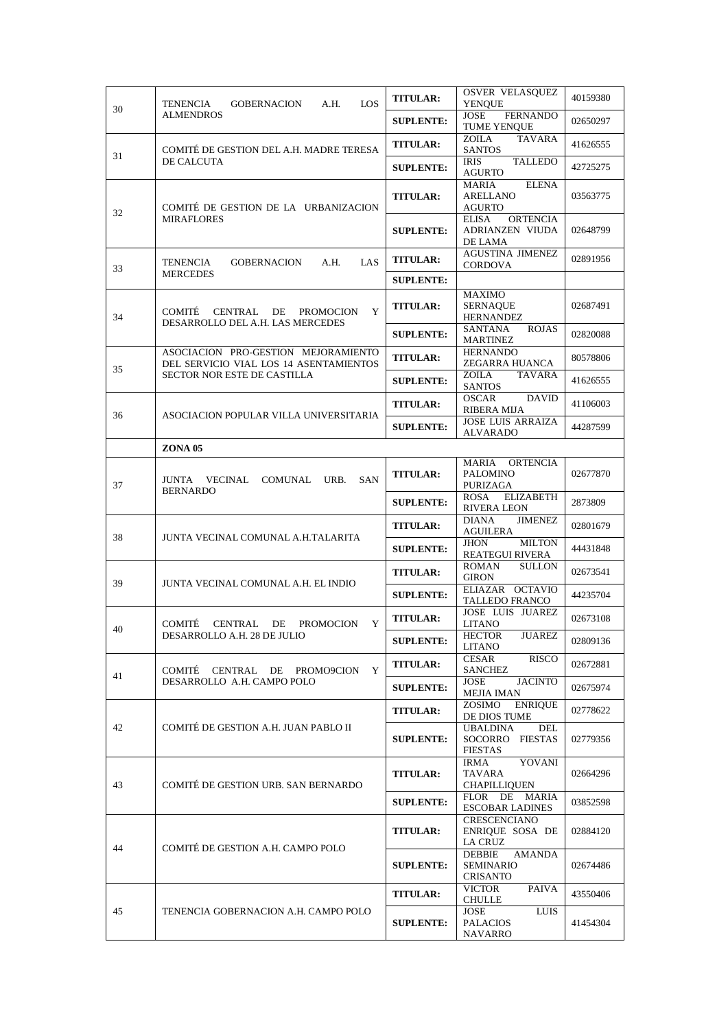| 30 | LOS<br>TENENCIA<br><b>GOBERNACION</b><br>A.H.                                            | <b>TITULAR:</b>  | <b>OSVER VELASQUEZ</b><br><b>YENOUE</b>                       | 40159380 |
|----|------------------------------------------------------------------------------------------|------------------|---------------------------------------------------------------|----------|
|    | <b>ALMENDROS</b>                                                                         | <b>SUPLENTE:</b> | JOSE<br><b>FERNANDO</b><br><b>TUME YENOUE</b>                 | 02650297 |
| 31 | COMITÉ DE GESTION DEL A.H. MADRE TERESA<br>DE CALCUTA                                    | <b>TITULAR:</b>  | <b>TAVARA</b><br>ZOILA<br><b>SANTOS</b>                       | 41626555 |
|    |                                                                                          | <b>SUPLENTE:</b> | <b>TALLEDO</b><br>IRIS<br>AGURTO                              | 42725275 |
| 32 | COMITÉ DE GESTION DE LA URBANIZACION<br><b>MIRAFLORES</b>                                | <b>TITULAR:</b>  | MARIA<br><b>ELENA</b><br><b>ARELLANO</b><br>AGURTO            | 03563775 |
|    |                                                                                          | <b>SUPLENTE:</b> | <b>ORTENCIA</b><br><b>ELISA</b><br>ADRIANZEN VIUDA<br>DE LAMA | 02648799 |
| 33 | LAS<br>TENENCIA<br><b>GOBERNACION</b><br>A.H.                                            | <b>TITULAR:</b>  | <b>AGUSTINA JIMENEZ</b><br><b>CORDOVA</b>                     | 02891956 |
|    | <b>MERCEDES</b>                                                                          | <b>SUPLENTE:</b> |                                                               |          |
| 34 | <b>COMITÉ</b><br>Y<br>CENTRAL DE<br><b>PROMOCION</b><br>DESARROLLO DEL A.H. LAS MERCEDES | <b>TITULAR:</b>  | MAXIMO<br><b>SERNAOUE</b><br><b>HERNANDEZ</b>                 | 02687491 |
|    |                                                                                          | <b>SUPLENTE:</b> | <b>SANTANA</b><br><b>ROJAS</b><br><b>MARTINEZ</b>             | 02820088 |
| 35 | ASOCIACION PRO-GESTION MEJORAMIENTO<br>DEL SERVICIO VIAL LOS 14 ASENTAMIENTOS            | <b>TITULAR:</b>  | <b>HERNANDO</b><br>ZEGARRA HUANCA                             | 80578806 |
|    | <b>SECTOR NOR ESTE DE CASTILLA</b>                                                       | <b>SUPLENTE:</b> | <b>TAVARA</b><br>ZOILA<br><b>SANTOS</b>                       | 41626555 |
| 36 |                                                                                          | <b>TITULAR:</b>  | <b>OSCAR</b><br><b>DAVID</b><br>RIBERA MIJA                   | 41106003 |
|    | ASOCIACION POPULAR VILLA UNIVERSITARIA                                                   | <b>SUPLENTE:</b> | <b>JOSE LUIS ARRAIZA</b><br><b>ALVARADO</b>                   | 44287599 |
|    | <b>ZONA 05</b>                                                                           |                  |                                                               |          |
| 37 | JUNTA<br>VECINAL COMUNAL<br>URB.<br><b>SAN</b><br><b>BERNARDO</b>                        | <b>TITULAR:</b>  | MARIA ORTENCIA<br><b>PALOMINO</b><br>PURIZAGA                 | 02677870 |
|    |                                                                                          | <b>SUPLENTE:</b> | <b>ELIZABETH</b><br>ROSA<br><b>RIVERA LEON</b>                | 2873809  |
|    | JUNTA VECINAL COMUNAL A.H.TALARITA                                                       | <b>TITULAR:</b>  | <b>JIMENEZ</b><br><b>DIANA</b><br><b>AGUILERA</b>             | 02801679 |
| 38 |                                                                                          | <b>SUPLENTE:</b> | <b>MILTON</b><br><b>JHON</b><br>REATEGUI RIVERA               | 44431848 |
|    | JUNTA VECINAL COMUNAL A.H. EL INDIO                                                      | <b>TITULAR:</b>  | <b>SULLON</b><br><b>ROMAN</b><br>GIRON                        | 02673541 |
| 39 |                                                                                          | <b>SUPLENTE:</b> | ELIAZAR OCTAVIO<br>TALLEDO FRANCO                             | 44235704 |
|    | Y<br>COMITÉ CENTRAL DE<br><b>PROMOCION</b><br>DESARROLLO A.H. 28 DE JULIO                | <b>TITULAR:</b>  | <b>JOSE LUIS JUAREZ</b><br><b>LITANO</b>                      | 02673108 |
| 40 |                                                                                          | <b>SUPLENTE:</b> | <b>HECTOR</b><br><b>JUAREZ</b><br>LITANO                      | 02809136 |
|    | COMITÉ<br>CENTRAL DE PROMO9CION<br>Y<br>DESARROLLO A.H. CAMPO POLO                       | <b>TITULAR:</b>  | <b>RISCO</b><br>CESAR<br><b>SANCHEZ</b>                       | 02672881 |
| 41 |                                                                                          | <b>SUPLENTE:</b> | <b>JACINTO</b><br>JOSE<br><b>MEJIA IMAN</b>                   | 02675974 |
|    | COMITÉ DE GESTION A.H. JUAN PABLO II                                                     | <b>TITULAR:</b>  | ZOSIMO<br><b>ENRIQUE</b><br>DE DIOS TUME                      | 02778622 |
| 42 |                                                                                          | <b>SUPLENTE:</b> | <b>UBALDINA</b><br>DEL<br>SOCORRO FIESTAS<br><b>FIESTAS</b>   | 02779356 |
| 43 | COMITÉ DE GESTION URB. SAN BERNARDO                                                      | <b>TITULAR:</b>  | <b>IRMA</b><br><b>YOVANI</b><br>TAVARA<br>CHAPILLIQUEN        | 02664296 |
|    |                                                                                          | <b>SUPLENTE:</b> | FLOR DE<br><b>MARIA</b><br><b>ESCOBAR LADINES</b>             | 03852598 |
| 44 | COMITÉ DE GESTION A.H. CAMPO POLO                                                        | <b>TITULAR:</b>  | <b>CRESCENCIANO</b><br>ENRIQUE SOSA DE<br>LA CRUZ             | 02884120 |
|    |                                                                                          | <b>SUPLENTE:</b> | DEBBIE<br><b>AMANDA</b><br>SEMINARIO<br>CRISANTO              | 02674486 |
|    |                                                                                          | <b>TITULAR:</b>  | <b>VICTOR</b><br><b>PAIVA</b><br><b>CHULLE</b>                | 43550406 |
| 45 | TENENCIA GOBERNACION A.H. CAMPO POLO                                                     | <b>SUPLENTE:</b> | JOSE<br><b>LUIS</b><br><b>PALACIOS</b><br>NAVARRO             | 41454304 |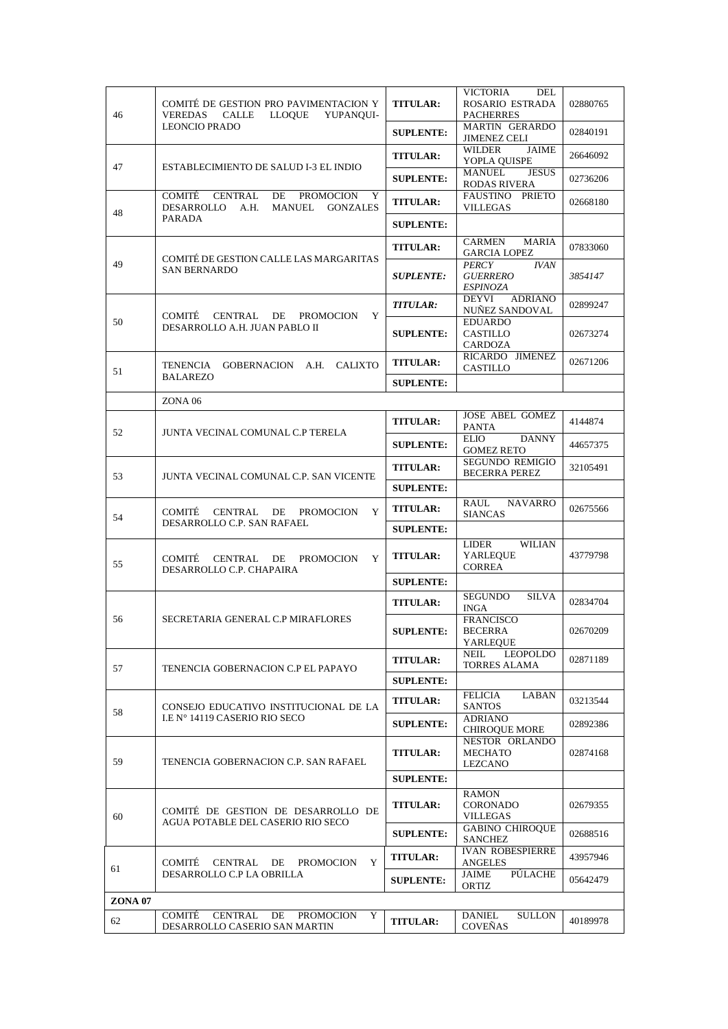| 46      | COMITÉ DE GESTION PRO PAVIMENTACION Y<br><b>VEREDAS</b><br>CALLE<br>LLOQUE<br>YUPANOUI-                                                             | <b>TITULAR:</b>  | VICTORIA<br>DEL<br>ROSARIO ESTRADA<br><b>PACHERRES</b>     | 02880765 |
|---------|-----------------------------------------------------------------------------------------------------------------------------------------------------|------------------|------------------------------------------------------------|----------|
|         | <b>LEONCIO PRADO</b>                                                                                                                                | <b>SUPLENTE:</b> | <b>MARTIN GERARDO</b><br><b>JIMENEZ CELI</b>               | 02840191 |
|         |                                                                                                                                                     | <b>TITULAR:</b>  | <b>JAIME</b><br>WILDER<br>YOPLA QUISPE                     | 26646092 |
| 47      | ESTABLECIMIENTO DE SALUD I-3 EL INDIO<br>COMITÉ<br>CENTRAL<br>DE<br><b>PROMOCION</b><br>Y<br>DESARROLLO<br>A.H.<br><b>MANUEL</b><br><b>GONZALES</b> | <b>SUPLENTE:</b> | <b>MANUEL</b><br><b>JESUS</b><br>RODAS RIVERA              | 02736206 |
| 48      |                                                                                                                                                     | <b>TITULAR:</b>  | FAUSTINO<br>PRIETO<br><b>VILLEGAS</b>                      | 02668180 |
|         | PARADA<br>COMITÉ DE GESTION CALLE LAS MARGARITAS                                                                                                    | <b>SUPLENTE:</b> |                                                            |          |
|         |                                                                                                                                                     | <b>TITULAR:</b>  | CARMEN<br><b>MARIA</b><br><b>GARCIA LOPEZ</b>              | 07833060 |
| 49      | <b>SAN BERNARDO</b><br>COMITÉ CENTRAL DE PROMOCION<br>Y                                                                                             | <b>SUPLENTE:</b> | <b>IVAN</b><br><b>PERCY</b><br><b>GUERRERO</b><br>ESPINOZA | 3854147  |
|         |                                                                                                                                                     | <b>TITULAR:</b>  | DEYVI<br><b>ADRIANO</b><br>NUÑEZ SANDOVAL                  | 02899247 |
| 50      | DESARROLLO A.H. JUAN PABLO II                                                                                                                       | <b>SUPLENTE:</b> | <b>EDUARDO</b><br>CASTILLO<br>CARDOZA                      | 02673274 |
| 51      | TENENCIA GOBERNACION A.H. CALIXTO                                                                                                                   | <b>TITULAR:</b>  | RICARDO JIMENEZ<br>CASTILLO                                | 02671206 |
|         | <b>BALAREZO</b>                                                                                                                                     | <b>SUPLENTE:</b> |                                                            |          |
|         | <b>ZONA 06</b>                                                                                                                                      |                  | <b>JOSE ABEL GOMEZ</b>                                     |          |
| 52      | JUNTA VECINAL COMUNAL C.P TERELA                                                                                                                    | <b>TITULAR:</b>  | <b>PANTA</b>                                               | 4144874  |
|         | JUNTA VECINAL COMUNAL C.P. SAN VICENTE                                                                                                              | <b>SUPLENTE:</b> | <b>ELIO</b><br><b>DANNY</b><br><b>GOMEZ RETO</b>           | 44657375 |
| 53      |                                                                                                                                                     | <b>TITULAR:</b>  | <b>SEGUNDO REMIGIO</b><br><b>BECERRA PEREZ</b>             | 32105491 |
|         | COMITÉ<br>CENTRAL DE<br>Y<br><b>PROMOCION</b>                                                                                                       | <b>SUPLENTE:</b> |                                                            |          |
| 54      |                                                                                                                                                     | <b>TITULAR:</b>  | RAUL<br><b>NAVARRO</b><br><b>SIANCAS</b>                   | 02675566 |
|         | DESARROLLO C.P. SAN RAFAEL                                                                                                                          | <b>SUPLENTE:</b> |                                                            |          |
| 55      | CENTRAL DE<br>COMITÉ<br><b>PROMOCION</b><br>Y<br>DESARROLLO C.P. CHAPAIRA                                                                           | <b>TITULAR:</b>  | WILIAN<br>LIDER<br>YARLEQUE<br><b>CORREA</b>               | 43779798 |
|         |                                                                                                                                                     | <b>SUPLENTE:</b> |                                                            |          |
|         |                                                                                                                                                     | <b>TITULAR:</b>  | <b>SEGUNDO</b><br><b>SILVA</b><br><b>INGA</b>              | 02834704 |
| 56      | SECRETARIA GENERAL C.P MIRAFLORES                                                                                                                   | <b>SUPLENTE:</b> | <b>FRANCISCO</b><br><b>BECERRA</b><br>YARLEQUE             | 02670209 |
| 57      |                                                                                                                                                     | <b>TITULAR:</b>  | <b>NEIL</b><br><b>LEOPOLDO</b><br>TORRES ALAMA             | 02871189 |
|         | TENENCIA GOBERNACION C.P EL PAPAYO                                                                                                                  | <b>SUPLENTE:</b> |                                                            |          |
| 58      | CONSEJO EDUCATIVO INSTITUCIONAL DE LA<br>I.E N° 14119 CASERIO RIO SECO<br>TENENCIA GOBERNACION C.P. SAN RAFAEL                                      | <b>TITULAR:</b>  | FELICIA<br>LABAN<br><b>SANTOS</b>                          | 03213544 |
|         |                                                                                                                                                     | <b>SUPLENTE:</b> | <b>ADRIANO</b><br><b>CHIROQUE MORE</b>                     | 02892386 |
| 59      |                                                                                                                                                     | <b>TITULAR:</b>  | NESTOR ORLANDO<br>MECHATO<br>LEZCANO                       | 02874168 |
|         |                                                                                                                                                     | <b>SUPLENTE:</b> |                                                            |          |
| 60      | COMITÉ DE GESTION DE DESARROLLO DE<br>AGUA POTABLE DEL CASERIO RIO SECO                                                                             | <b>TITULAR:</b>  | RAMON<br>CORONADO<br>VILLEGAS                              | 02679355 |
|         |                                                                                                                                                     | <b>SUPLENTE:</b> | <b>GABINO CHIROQUE</b><br>SANCHEZ                          | 02688516 |
| 61      | COMITÉ<br>CENTRAL DE<br>Y<br>PROMOCION<br>DESARROLLO C.P LA OBRILLA                                                                                 | <b>TITULAR:</b>  | <b>IVAN ROBESPIERRE</b><br><b>ANGELES</b>                  | 43957946 |
|         |                                                                                                                                                     | <b>SUPLENTE:</b> | JAIME<br><b>PULACHE</b><br>ORTIZ                           | 05642479 |
| ZONA 07 |                                                                                                                                                     |                  |                                                            |          |
| 62      | COMITÉ<br>CENTRAL<br>DE<br>Y<br>PROMOCION<br>DESARROLLO CASERIO SAN MARTIN                                                                          | <b>TITULAR:</b>  | DANIEL<br><b>SULLON</b><br><b>COVENAS</b>                  | 40189978 |